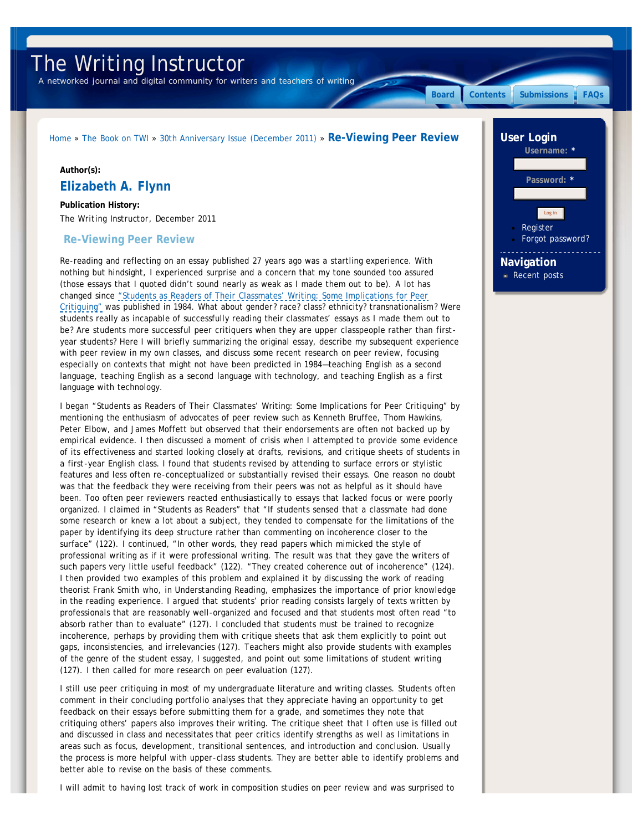# The Writing Instructor

*A networked journal and digital community for writers and teachers of writing*

**[Board](http://www.writinginstructor.com/board) [Contents](http://www.writinginstructor.com/contents) [Submissions](http://www.writinginstructor.com/submissions) [FAQs](http://www.writinginstructor.com/editorialfaqs)**

# [Home](http://www.writinginstructor.com/) » [The Book on TWI](http://www.writinginstructor.com/twibook) » [30th Anniversary Issue \(December 2011\)](http://www.writinginstructor.com/30anniversary) » **Re-Viewing Peer Review**

#### **Author(s):**

# **Elizabeth A. Flynn**

**Publication History:** *The Writing Instructor*, December 2011

## **Re-Viewing Peer Review**

Re-reading and reflecting on an essay published 27 years ago was a startling experience. With nothing but hindsight, I experienced surprise and a concern that my tone sounded too assured (those essays that I quoted didn't sound nearly as weak as I made them out to be). A lot has changed since ["Students as Readers of Their Classmates' Writing: Some Implications for Peer](http://www.writinginstructor.com/30readers) [Critiquing"](http://www.writinginstructor.com/30readers) was published in 1984. What about gender? race? class? ethnicity? transnationalism? Were students really as incapable of successfully reading their classmates' essays as I made them out to be? Are students more successful peer critiquers when they are upper classpeople rather than firstyear students? Here I will briefly summarizing the original essay, describe my subsequent experience with peer review in my own classes, and discuss some recent research on peer review, focusing especially on contexts that might not have been predicted in 1984—teaching English as a second language, teaching English as a second language with technology, and teaching English as a first language with technology.

I began "Students as Readers of Their Classmates' Writing: Some Implications for Peer Critiquing" by mentioning the enthusiasm of advocates of peer review such as Kenneth Bruffee, Thom Hawkins, Peter Elbow, and James Moffett but observed that their endorsements are often not backed up by empirical evidence. I then discussed a moment of crisis when I attempted to provide some evidence of its effectiveness and started looking closely at drafts, revisions, and critique sheets of students in a first-year English class. I found that students revised by attending to surface errors or stylistic features and less often re-conceptualized or substantially revised their essays. One reason no doubt was that the feedback they were receiving from their peers was not as helpful as it should have been. Too often peer reviewers reacted enthusiastically to essays that lacked focus or were poorly organized. I claimed in "Students as Readers" that "If students sensed that a classmate had done some research or knew a lot about a subject, they tended to compensate for the limitations of the paper by identifying its deep structure rather than commenting on incoherence closer to the surface" (122). I continued, "In other words, they read papers which mimicked the style of professional writing as if it were professional writing. The result was that they gave the writers of such papers very little useful feedback" (122). "They created coherence out of incoherence" (124). I then provided two examples of this problem and explained it by discussing the work of reading theorist Frank Smith who, in *Understanding Reading*, emphasizes the importance of prior knowledge in the reading experience. I argued that students' prior reading consists largely of texts written by professionals that are reasonably well-organized and focused and that students most often read "to absorb rather than to evaluate" (127). I concluded that students must be trained to recognize incoherence, perhaps by providing them with critique sheets that ask them explicitly to point out gaps, inconsistencies, and irrelevancies (127). Teachers might also provide students with examples of the genre of the student essay, I suggested, and point out some limitations of student writing (127). I then called for more research on peer evaluation (127).

I still use peer critiquing in most of my undergraduate literature and writing classes. Students often comment in their concluding portfolio analyses that they appreciate having an opportunity to get feedback on their essays before submitting them for a grade, and sometimes they note that critiquing others' papers also improves their writing. The critique sheet that I often use is filled out and discussed in class and necessitates that peer critics identify strengths as well as limitations in areas such as focus, development, transitional sentences, and introduction and conclusion. Usually the process is more helpful with upper-class students. They are better able to identify problems and better able to revise on the basis of these comments.

I will admit to having lost track of work in composition studies on peer review and was surprised to

# **User Login Username: \*** Password: **[Register](http://www.writinginstructor.com/user/register)** [Forgot password?](http://www.writinginstructor.com/user/password) **Navigation** [Recent posts](http://www.writinginstructor.com/tracker) Log in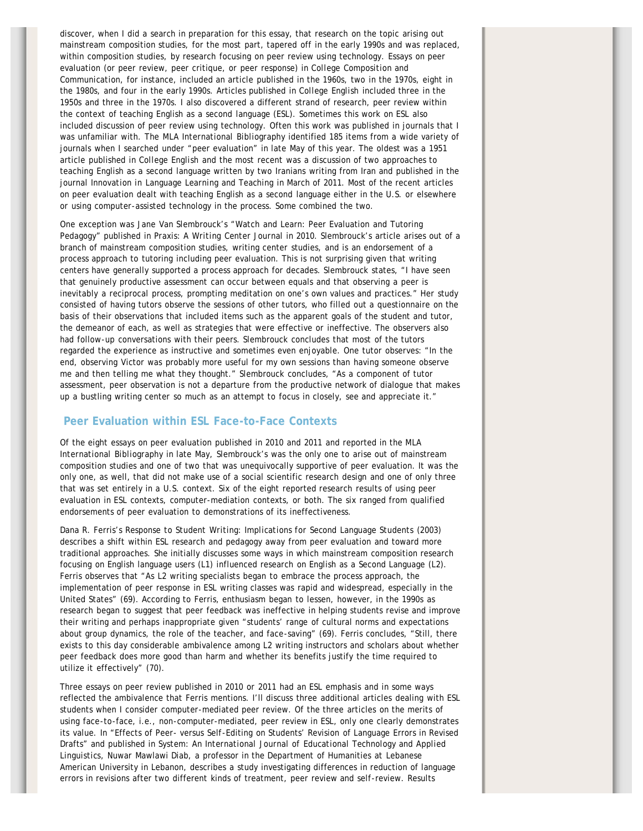discover, when I did a search in preparation for this essay, that research on the topic arising out mainstream composition studies, for the most part, tapered off in the early 1990s and was replaced, within composition studies, by research focusing on peer review using technology. Essays on peer evaluation (or peer review, peer critique, or peer response) in *College Composition and Communication*, for instance, included an article published in the 1960s, two in the 1970s, eight in the 1980s, and four in the early 1990s. Articles published in *College English* included three in the 1950s and three in the 1970s. I also discovered a different strand of research, peer review within the context of teaching English as a second language (ESL). Sometimes this work on ESL also included discussion of peer review using technology. Often this work was published in journals that I was unfamiliar with. The *MLA International Bibliography* identified 185 items from a wide variety of journals when I searched under "peer evaluation" in late May of this year. The oldest was a 1951 article published in *College English* and the most recent was a discussion of two approaches to teaching English as a second language written by two Iranians writing from Iran and published in the journal *Innovation in Language Learning and Teaching* in March of 2011. Most of the recent articles on peer evaluation dealt with teaching English as a second language either in the U.S. or elsewhere or using computer-assisted technology in the process. Some combined the two.

One exception was Jane Van Slembrouck's "Watch and Learn: Peer Evaluation and Tutoring Pedagogy" published in *Praxis: A Writing Center Journal* in 2010. Slembrouck's article arises out of a branch of mainstream composition studies, writing center studies, and is an endorsement of a process approach to tutoring including peer evaluation. This is not surprising given that writing centers have generally supported a process approach for decades. Slembrouck states, "I have seen that genuinely productive assessment can occur between equals and that observing a peer is inevitably a reciprocal process, prompting meditation on one's own values and practices." Her study consisted of having tutors observe the sessions of other tutors, who filled out a questionnaire on the basis of their observations that included items such as the apparent goals of the student and tutor, the demeanor of each, as well as strategies that were effective or ineffective. The observers also had follow-up conversations with their peers. Slembrouck concludes that most of the tutors regarded the experience as instructive and sometimes even enjoyable. One tutor observes: "In the end, observing Victor was probably more useful for my own sessions than having someone observe me and then telling me what they thought." Slembrouck concludes, "As a component of tutor assessment, peer observation is not a departure from the productive network of dialogue that makes up a bustling writing center so much as an attempt to focus in closely, see and appreciate it."

# **Peer Evaluation within ESL Face-to-Face Contexts**

Of the eight essays on peer evaluation published in 2010 and 2011 and reported in the *MLA International Bibliography* in late May, Slembrouck's was the only one to arise out of mainstream composition studies and one of two that was unequivocally supportive of peer evaluation. It was the only one, as well, that did not make use of a social scientific research design and one of only three that was set entirely in a U.S. context. Six of the eight reported research results of using peer evaluation in ESL contexts, computer-mediation contexts, or both. The six ranged from qualified endorsements of peer evaluation to demonstrations of its ineffectiveness.

Dana R. Ferris's *Response to Student Writing: Implications for Second Language Students* (2003) describes a shift within ESL research and pedagogy away from peer evaluation and toward more traditional approaches. She initially discusses some ways in which mainstream composition research focusing on English language users (L1) influenced research on English as a Second Language (L2). Ferris observes that "As L2 writing specialists began to embrace the process approach, the implementation of peer response in ESL writing classes was rapid and widespread, especially in the United States" (69). According to Ferris, enthusiasm began to lessen, however, in the 1990s as research began to suggest that peer feedback was ineffective in helping students revise and improve their writing and perhaps inappropriate given "students' range of cultural norms and expectations about group dynamics, the role of the teacher, and face-saving" (69). Ferris concludes, "Still, there exists to this day considerable ambivalence among L2 writing instructors and scholars about whether peer feedback does more good than harm and whether its benefits justify the time required to utilize it effectively" (70).

Three essays on peer review published in 2010 or 2011 had an ESL emphasis and in some ways reflected the ambivalence that Ferris mentions. I'll discuss three additional articles dealing with ESL students when I consider computer-mediated peer review. Of the three articles on the merits of using face-to-face, i.e., non-computer-mediated, peer review in ESL, only one clearly demonstrates its value. In "Effects of Peer- versus Self-Editing on Students' Revision of Language Errors in Revised Drafts" and published in *System: An International Journal of Educational Technology and Applied Linguistics*, Nuwar Mawlawi Diab, a professor in the Department of Humanities at Lebanese American University in Lebanon, describes a study investigating differences in reduction of language errors in revisions after two different kinds of treatment, peer review and self-review. Results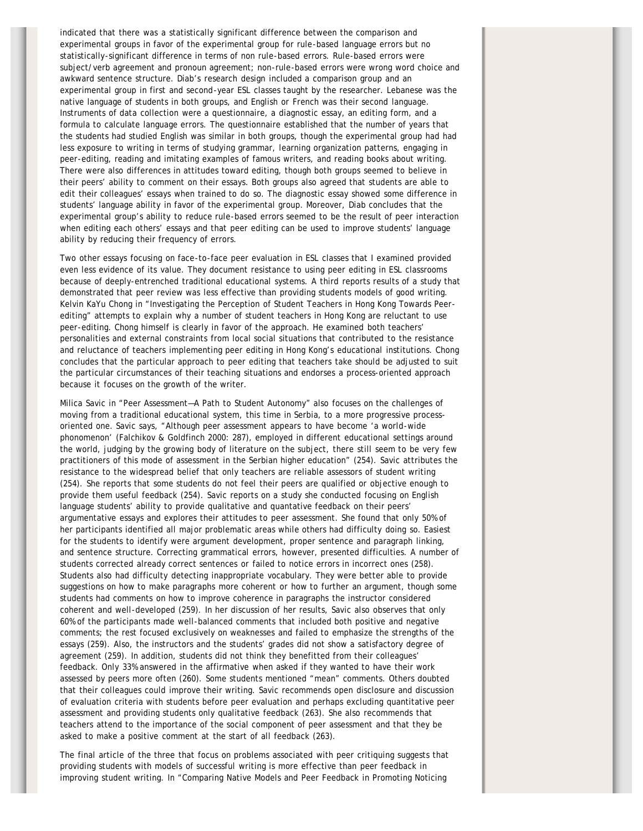indicated that there was a statistically significant difference between the comparison and experimental groups in favor of the experimental group for rule-based language errors but no statistically-significant difference in terms of non rule-based errors. Rule-based errors were subject/verb agreement and pronoun agreement; non-rule-based errors were wrong word choice and awkward sentence structure. Diab's research design included a comparison group and an experimental group in first and second-year ESL classes taught by the researcher. Lebanese was the native language of students in both groups, and English or French was their second language. Instruments of data collection were a questionnaire, a diagnostic essay, an editing form, and a formula to calculate language errors. The questionnaire established that the number of years that the students had studied English was similar in both groups, though the experimental group had had less exposure to writing in terms of studying grammar, learning organization patterns, engaging in peer-editing, reading and imitating examples of famous writers, and reading books about writing. There were also differences in attitudes toward editing, though both groups seemed to believe in their peers' ability to comment on their essays. Both groups also agreed that students are able to edit their colleagues' essays when trained to do so. The diagnostic essay showed some difference in students' language ability in favor of the experimental group. Moreover, Diab concludes that the experimental group's ability to reduce rule-based errors seemed to be the result of peer interaction when editing each others' essays and that peer editing can be used to improve students' language ability by reducing their frequency of errors.

Two other essays focusing on face-to-face peer evaluation in ESL classes that I examined provided even less evidence of its value. They document resistance to using peer editing in ESL classrooms because of deeply-entrenched traditional educational systems. A third reports results of a study that demonstrated that peer review was less effective than providing students models of good writing. Kelvin KaYu Chong in "Investigating the Perception of Student Teachers in Hong Kong Towards Peerediting" attempts to explain why a number of student teachers in Hong Kong are reluctant to use peer-editing. Chong himself is clearly in favor of the approach. He examined both teachers' personalities and external constraints from local social situations that contributed to the resistance and reluctance of teachers implementing peer editing in Hong Kong's educational institutions. Chong concludes that the particular approach to peer editing that teachers take should be adjusted to suit the particular circumstances of their teaching situations and endorses a process-oriented approach because it focuses on the growth of the writer.

Milica Savic in "Peer Assessment—A Path to Student Autonomy" also focuses on the challenges of moving from a traditional educational system, this time in Serbia, to a more progressive processoriented one. Savic says, "Although peer assessment appears to have become 'a world-wide phonomenon' (Falchikov & Goldfinch 2000: 287), employed in different educational settings around the world, judging by the growing body of literature on the subject, there still seem to be very few practitioners of this mode of assessment in the Serbian higher education" (254). Savic attributes the resistance to the widespread belief that only teachers are reliable assessors of student writing (254). She reports that some students do not feel their peers are qualified or objective enough to provide them useful feedback (254). Savic reports on a study she conducted focusing on English language students' ability to provide qualitative and quantative feedback on their peers' argumentative essays and explores their attitudes to peer assessment. She found that only 50% of her participants identified all major problematic areas while others had difficulty doing so. Easiest for the students to identify were argument development, proper sentence and paragraph linking, and sentence structure. Correcting grammatical errors, however, presented difficulties. A number of students corrected already correct sentences or failed to notice errors in incorrect ones (258). Students also had difficulty detecting inappropriate vocabulary. They were better able to provide suggestions on how to make paragraphs more coherent or how to further an argument, though some students had comments on how to improve coherence in paragraphs the instructor considered coherent and well-developed (259). In her discussion of her results, Savic also observes that only 60% of the participants made well-balanced comments that included both positive and negative comments; the rest focused exclusively on weaknesses and failed to emphasize the strengths of the essays (259). Also, the instructors and the students' grades did not show a satisfactory degree of agreement (259). In addition, students did not think they benefitted from their colleagues' feedback. Only 33% answered in the affirmative when asked if they wanted to have their work assessed by peers more often (260). Some students mentioned "mean" comments. Others doubted that their colleagues could improve their writing. Savic recommends open disclosure and discussion of evaluation criteria with students before peer evaluation and perhaps excluding quantitative peer assessment and providing students only qualitative feedback (263). She also recommends that teachers attend to the importance of the social component of peer assessment and that they be asked to make a positive comment at the start of all feedback (263).

The final article of the three that focus on problems associated with peer critiquing suggests that providing students with models of successful writing is more effective than peer feedback in improving student writing. In "Comparing Native Models and Peer Feedback in Promoting Noticing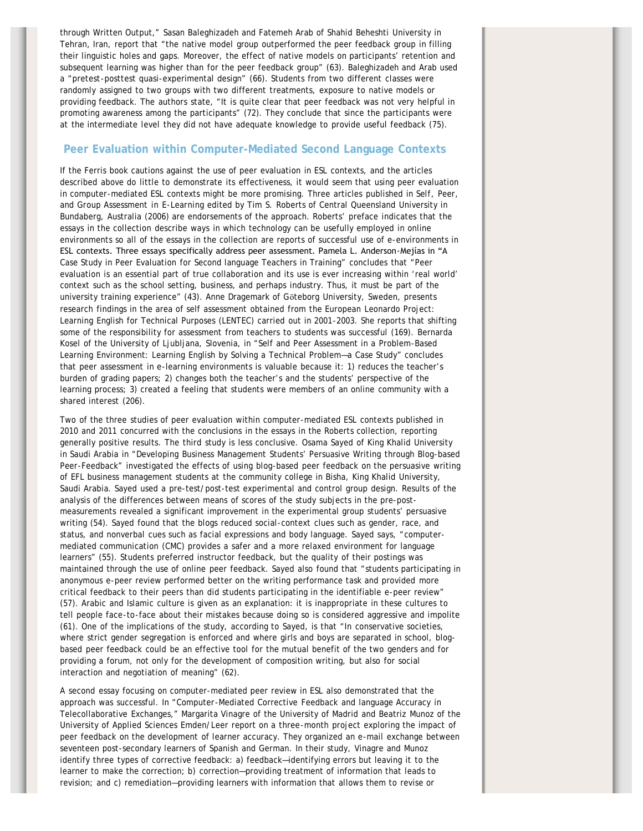through Written Output," Sasan Baleghizadeh and Fatemeh Arab of Shahid Beheshti University in Tehran, Iran, report that "the native model group outperformed the peer feedback group in filling their linguistic holes and gaps. Moreover, the effect of native models on participants' retention and subsequent learning was higher than for the peer feedback group" (63). Baleghizadeh and Arab used a "pretest-posttest quasi-experimental design" (66). Students from two different classes were randomly assigned to two groups with two different treatments, exposure to native models or providing feedback. The authors state, "It is quite clear that peer feedback was not very helpful in promoting awareness among the participants" (72). They conclude that since the participants were at the intermediate level they did not have adequate knowledge to provide useful feedback (75).

## **Peer Evaluation within Computer-Mediated Second Language Contexts**

If the Ferris book cautions against the use of peer evaluation in ESL contexts, and the articles described above do little to demonstrate its effectiveness, it would seem that using peer evaluation in computer-mediated ESL contexts might be more promising. Three articles published in *Self, Peer, and Group Assessment in E-Learning* edited by Tim S. Roberts of Central Queensland University in Bundaberg, Australia (2006) are endorsements of the approach. Roberts' preface indicates that the essays in the collection describe ways in which technology can be usefully employed in online environments so all of the essays in the collection are reports of successful use of e-environments in ESL contexts. Three essays specifically address peer assessment. Pamela L. Anderson-Mejίas in "A Case Study in Peer Evaluation for Second language Teachers in Training" concludes that "Peer evaluation is an essential part of true collaboration and its use is ever increasing within 'real world' context such as the school setting, business, and perhaps industry. Thus, it must be part of the university training experience" (43). Anne Dragemark of Göteborg University, Sweden, presents research findings in the area of self assessment obtained from the European Leonardo Project: Learning English for Technical Purposes (LENTEC) carried out in 2001-2003. She reports that shifting some of the responsibility for assessment from teachers to students was successful (169). Bernarda Kosel of the University of Ljubljana, Slovenia, in "Self and Peer Assessment in a Problem-Based Learning Environment: Learning English by Solving a Technical Problem—a Case Study" concludes that peer assessment in e-learning environments is valuable because it: 1) reduces the teacher's burden of grading papers; 2) changes both the teacher's and the students' perspective of the learning process; 3) created a feeling that students were members of an online community with a shared interest (206).

Two of the three studies of peer evaluation within computer-mediated ESL contexts published in 2010 and 2011 concurred with the conclusions in the essays in the Roberts collection, reporting generally positive results. The third study is less conclusive. Osama Sayed of King Khalid University in Saudi Arabia in "Developing Business Management Students' Persuasive Writing through Blog-based Peer-Feedback" investigated the effects of using blog-based peer feedback on the persuasive writing of EFL business management students at the community college in Bisha, King Khalid University, Saudi Arabia. Sayed used a pre-test/post-test experimental and control group design. Results of the analysis of the differences between means of scores of the study subjects in the pre-postmeasurements revealed a significant improvement in the experimental group students' persuasive writing (54). Sayed found that the blogs reduced social-context clues such as gender, race, and status, and nonverbal cues such as facial expressions and body language. Sayed says, "computermediated communication (CMC) provides a safer and a more relaxed environment for language learners" (55). Students preferred instructor feedback, but the quality of their postings was maintained through the use of online peer feedback. Sayed also found that "students participating in anonymous e-peer review performed better on the writing performance task and provided more critical feedback to their peers than did students participating in the identifiable e-peer review" (57). Arabic and Islamic culture is given as an explanation: it is inappropriate in these cultures to tell people face-to-face about their mistakes because doing so is considered aggressive and impolite (61). One of the implications of the study, according to Sayed, is that "In conservative societies, where strict gender segregation is enforced and where girls and boys are separated in school, blogbased peer feedback could be an effective tool for the mutual benefit of the two genders and for providing a forum, not only for the development of composition writing, but also for social interaction and negotiation of meaning" (62).

A second essay focusing on computer-mediated peer review in ESL also demonstrated that the approach was successful. In "Computer-Mediated Corrective Feedback and language Accuracy in Telecollaborative Exchanges," Margarita Vinagre of the University of Madrid and Beatriz Munoz of the University of Applied Sciences Emden/Leer report on a three-month project exploring the impact of peer feedback on the development of learner accuracy. They organized an e-mail exchange between seventeen post-secondary learners of Spanish and German. In their study, Vinagre and Munoz identify three types of corrective feedback: a) feedback—identifying errors but leaving it to the learner to make the correction; b) correction—providing treatment of information that leads to revision; and c) remediation—providing learners with information that allows them to revise or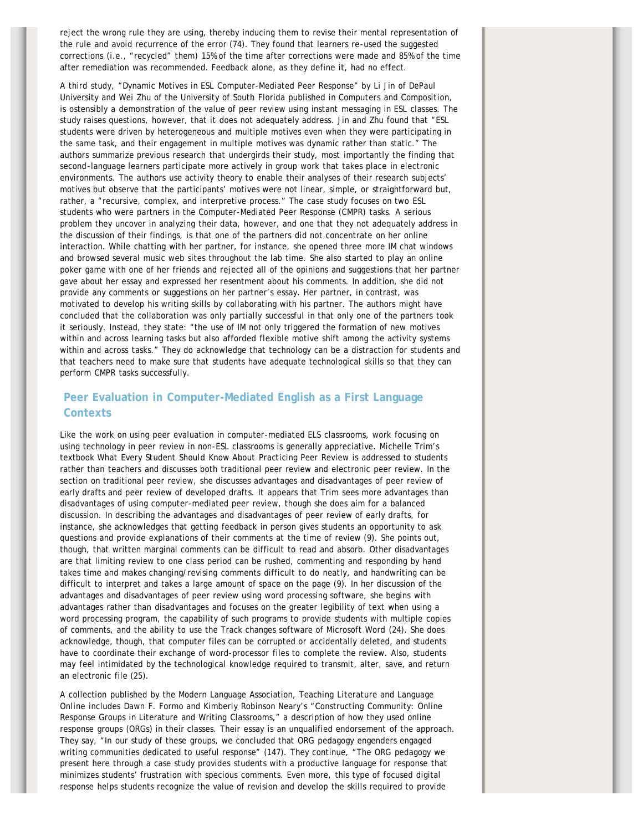reject the wrong rule they are using, thereby inducing them to revise their mental representation of the rule and avoid recurrence of the error (74). They found that learners re-used the suggested corrections (i.e., "recycled" them) 15% of the time after corrections were made and 85% of the time after remediation was recommended. Feedback alone, as they define it, had no effect.

A third study, "Dynamic Motives in ESL Computer-Mediated Peer Response" by Li Jin of DePaul University and Wei Zhu of the University of South Florida published in *Computers and Composition*, is ostensibly a demonstration of the value of peer review using instant messaging in ESL classes. The study raises questions, however, that it does not adequately address. Jin and Zhu found that "ESL students were driven by heterogeneous and multiple motives even when they were participating in the same task, and their engagement in multiple motives was dynamic rather than static." The authors summarize previous research that undergirds their study, most importantly the finding that second-language learners participate more actively in group work that takes place in electronic environments. The authors use activity theory to enable their analyses of their research subjects' motives but observe that the participants' motives were not linear, simple, or straightforward but, rather, a "recursive, complex, and interpretive process." The case study focuses on two ESL students who were partners in the Computer-Mediated Peer Response (CMPR) tasks. A serious problem they uncover in analyzing their data, however, and one that they not adequately address in the discussion of their findings, is that one of the partners did not concentrate on her online interaction. While chatting with her partner, for instance, she opened three more IM chat windows and browsed several music web sites throughout the lab time. She also started to play an online poker game with one of her friends and rejected all of the opinions and suggestions that her partner gave about her essay and expressed her resentment about his comments. In addition, she did not provide any comments or suggestions on her partner's essay. Her partner, in contrast, was motivated to develop his writing skills by collaborating with his partner. The authors might have concluded that the collaboration was only partially successful in that only one of the partners took it seriously. Instead, they state: "the use of IM not only triggered the formation of new motives within and across learning tasks but also afforded flexible motive shift among the activity systems within and across tasks." They do acknowledge that technology can be a distraction for students and that teachers need to make sure that students have adequate technological skills so that they can perform CMPR tasks successfully.

# **Peer Evaluation in Computer-Mediated English as a First Language Contexts**

Like the work on using peer evaluation in computer-mediated ELS classrooms, work focusing on using technology in peer review in non-ESL classrooms is generally appreciative. Michelle Trim's textbook *What Every Student Should Know About Practicing Peer Review* is addressed to students rather than teachers and discusses both traditional peer review and electronic peer review. In the section on traditional peer review, she discusses advantages and disadvantages of peer review of early drafts and peer review of developed drafts. It appears that Trim sees more advantages than disadvantages of using computer-mediated peer review, though she does aim for a balanced discussion. In describing the advantages and disadvantages of peer review of early drafts, for instance, she acknowledges that getting feedback in person gives students an opportunity to ask questions and provide explanations of their comments at the time of review (9). She points out, though, that written marginal comments can be difficult to read and absorb. Other disadvantages are that limiting review to one class period can be rushed, commenting and responding by hand takes time and makes changing/revising comments difficult to do neatly, and handwriting can be difficult to interpret and takes a large amount of space on the page (9). In her discussion of the advantages and disadvantages of peer review using word processing software, she begins with advantages rather than disadvantages and focuses on the greater legibility of text when using a word processing program, the capability of such programs to provide students with multiple copies of comments, and the ability to use the Track changes software of Microsoft Word (24). She does acknowledge, though, that computer files can be corrupted or accidentally deleted, and students have to coordinate their exchange of word-processor files to complete the review. Also, students may feel intimidated by the technological knowledge required to transmit, alter, save, and return an electronic file (25).

A collection published by the Modern Language Association, *Teaching Literature and Language Online* includes Dawn F. Formo and Kimberly Robinson Neary's "Constructing Community: Online Response Groups in Literature and Writing Classrooms," a description of how they used online response groups (ORGs) in their classes. Their essay is an unqualified endorsement of the approach. They say, "In our study of these groups, we concluded that ORG pedagogy engenders engaged writing communities dedicated to useful response" (147). They continue, "The ORG pedagogy we present here through a case study provides students with a productive language for response that minimizes students' frustration with specious comments. Even more, this type of focused digital response helps students recognize the value of revision and develop the skills required to provide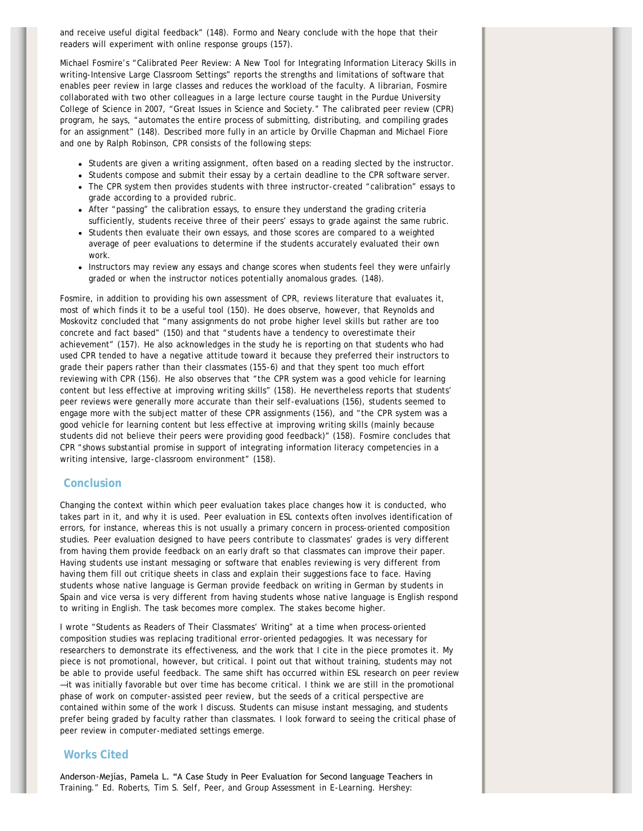and receive useful digital feedback" (148). Formo and Neary conclude with the hope that their readers will experiment with online response groups (157).

Michael Fosmire's "Calibrated Peer Review: A New Tool for Integrating Information Literacy Skills in writing-Intensive Large Classroom Settings" reports the strengths and limitations of software that enables peer review in large classes and reduces the workload of the faculty. A librarian, Fosmire collaborated with two other colleagues in a large lecture course taught in the Purdue University College of Science in 2007, "Great Issues in Science and Society." The calibrated peer review (CPR) program, he says, "automates the entire process of submitting, distributing, and compiling grades for an assignment" (148). Described more fully in an article by Orville Chapman and Michael Fiore and one by Ralph Robinson, CPR consists of the following steps:

- Students are given a writing assignment, often based on a reading slected by the instructor.
- Students compose and submit their essay by a certain deadline to the CPR software server.
- The CPR system then provides students with three instructor-created "calibration" essays to grade according to a provided rubric.
- After "passing" the calibration essays, to ensure they understand the grading criteria sufficiently, students receive three of their peers' essays to grade against the same rubric.
- Students then evaluate their own essays, and those scores are compared to a weighted average of peer evaluations to determine if the students accurately evaluated their own work.
- Instructors may review any essays and change scores when students feel they were unfairly graded or when the instructor notices potentially anomalous grades. (148).

Fosmire, in addition to providing his own assessment of CPR, reviews literature that evaluates it, most of which finds it to be a useful tool (150). He does observe, however, that Reynolds and Moskovitz concluded that "many assignments do not probe higher level skills but rather are too concrete and fact based" (150) and that "students have a tendency to overestimate their achievement" (157). He also acknowledges in the study he is reporting on that students who had used CPR tended to have a negative attitude toward it because they preferred their instructors to grade their papers rather than their classmates (155-6) and that they spent too much effort reviewing with CPR (156). He also observes that "the CPR system was a good vehicle for learning content but less effective at improving writing skills" (158). He nevertheless reports that students' peer reviews were generally more accurate than their self-evaluations (156), students seemed to engage more with the subject matter of these CPR assignments (156), and "the CPR system was a good vehicle for learning content but less effective at improving writing skills (mainly because students did not believe their peers were providing good feedback)" (158). Fosmire concludes that CPR "shows substantial promise in support of integrating information literacy competencies in a writing intensive, large-classroom environment" (158).

# **Conclusion**

Changing the context within which peer evaluation takes place changes how it is conducted, who takes part in it, and why it is used. Peer evaluation in ESL contexts often involves identification of errors, for instance, whereas this is not usually a primary concern in process-oriented composition studies. Peer evaluation designed to have peers contribute to classmates' grades is very different from having them provide feedback on an early draft so that classmates can improve their paper. Having students use instant messaging or software that enables reviewing is very different from having them fill out critique sheets in class and explain their suggestions face to face. Having students whose native language is German provide feedback on writing in German by students in Spain and vice versa is very different from having students whose native language is English respond to writing in English. The task becomes more complex. The stakes become higher.

I wrote "Students as Readers of Their Classmates' Writing" at a time when process-oriented composition studies was replacing traditional error-oriented pedagogies. It was necessary for researchers to demonstrate its effectiveness, and the work that I cite in the piece promotes it. My piece is not promotional, however, but critical. I point out that without training, students may not be able to provide useful feedback. The same shift has occurred within ESL research on peer review —it was initially favorable but over time has become critical. I think we are still in the promotional phase of work on computer-assisted peer review, but the seeds of a critical perspective are contained within some of the work I discuss. Students can misuse instant messaging, and students prefer being graded by faculty rather than classmates. I look forward to seeing the critical phase of peer review in computer-mediated settings emerge.

#### **Works Cited**

Anderson-Mejίas, Pamela L. "A Case Study in Peer Evaluation for Second language Teachers in Training." Ed. Roberts, Tim S. *Self, Peer, and Group Assessment in E-Learning*. Hershey: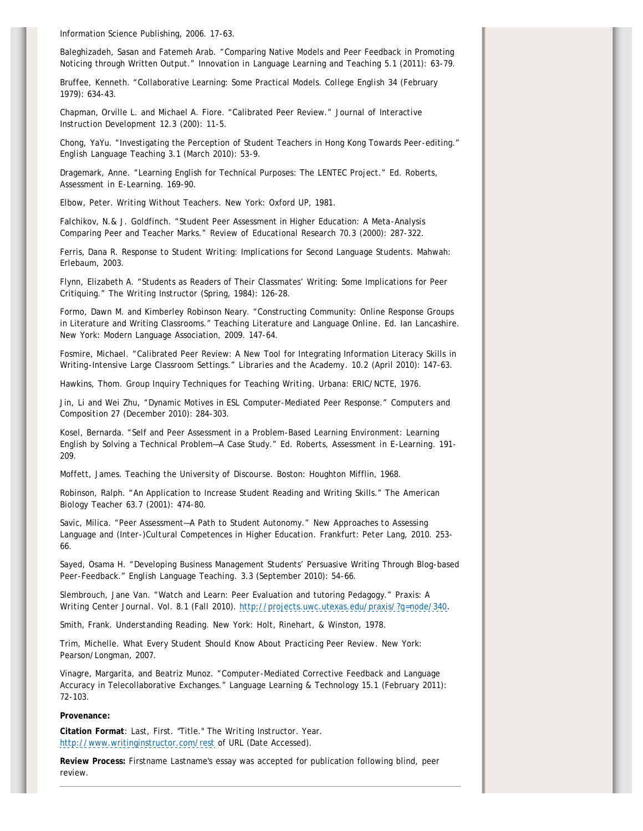Information Science Publishing, 2006. 17-63.

Baleghizadeh, Sasan and Fatemeh Arab. "Comparing Native Models and Peer Feedback in Promoting Noticing through Written Output." *Innovation in Language Learning and Teaching* 5.1 (2011): 63-79.

Bruffee, Kenneth. "Collaborative Learning: Some Practical Models. *College English* 34 (February 1979): 634-43.

Chapman, Orville L. and Michael A. Fiore. "Calibrated Peer Review." *Journal of Interactive Instruction Development* 12.3 (200): 11-5.

Chong, YaYu. "Investigating the Perception of Student Teachers in Hong Kong Towards Peer-editing." *English Language Teaching* 3.1 (March 2010): 53-9.

Dragemark, Anne. "Learning English for Technical Purposes: The LENTEC Project." Ed. Roberts, *Assessment in E-Learning*. 169-90.

Elbow, Peter. *Writing Without Teachers*. New York: Oxford UP, 1981.

Falchikov, N.& J. Goldfinch. "Student Peer Assessment in Higher Education: A Meta-Analysis Comparing Peer and Teacher Marks." *Review of Educational Research* 70.3 (2000): 287-322.

Ferris, Dana R. *Response to Student Writing: Implications for Second Language Students*. Mahwah: Erlebaum, 2003.

Flynn, Elizabeth A. "Students as Readers of Their Classmates' Writing: Some Implications for Peer Critiquing." *The Writing Instructor* (Spring, 1984): 126-28.

Formo, Dawn M. and Kimberley Robinson Neary. "Constructing Community: Online Response Groups in Literature and Writing Classrooms." *Teaching Literature and Language Online*. Ed. Ian Lancashire. New York: Modern Language Association, 2009. 147-64.

Fosmire, Michael. "Calibrated Peer Review: A New Tool for Integrating Information Literacy Skills in Writing-Intensive Large Classroom Settings." *Libraries and the Academy*. 10.2 (April 2010): 147-63.

Hawkins, Thom. *Group Inquiry Techniques for Teaching Writing*. Urbana: ERIC/NCTE, 1976.

Jin, Li and Wei Zhu, "Dynamic Motives in ESL Computer-Mediated Peer Response." *Computers and Composition* 27 (December 2010): 284-303.

Kosel, Bernarda. "Self and Peer Assessment in a Problem-Based Learning Environment: Learning English by Solving a Technical Problem—A Case Study." Ed. Roberts, *Assessment in E-Learning*. 191- 209.

Moffett, James. *Teaching the University of Discourse*. Boston: Houghton Mifflin, 1968.

Robinson, Ralph. "An Application to Increase Student Reading and Writing Skills." *The American Biology Teacher* 63.7 (2001): 474-80.

Savic, Milica. "Peer Assessment—A Path to Student Autonomy." *New Approaches to Assessing Language and (Inter-)Cultural Competences in Higher Education*. Frankfurt: Peter Lang, 2010. 253- 66.

Sayed, Osama H. "Developing Business Management Students' Persuasive Writing Through Blog-based Peer-Feedback." *English Language Teaching*. 3.3 (September 2010): 54-66.

Slembrouch, Jane Van. "Watch and Learn: Peer Evaluation and tutoring Pedagogy." *Praxis: A Writing Center Journal*. Vol. 8.1 (Fall 2010). [http://projects.uwc.utexas.edu/praxis/?q=node/340.](http://projects.uwc.utexas.edu/praxis/?q=node/340)

Smith, Frank. *Understanding Reading*. New York: Holt, Rinehart, & Winston, 1978.

Trim, Michelle. *What Every Student Should Know About Practicing Peer Review*. New York: Pearson/Longman, 2007.

Vinagre, Margarita, and Beatriz Munoz. "Computer-Mediated Corrective Feedback and Language Accuracy in Telecollaborative Exchanges." *Language Learning & Technology* 15.1 (February 2011): 72-103.

#### **Provenance:**

**Citation Format**: Last, First. "Title." *The Writing Instructor.* Year. <http://www.writinginstructor.com/rest>of URL (Date Accessed).

**Review Process:** Firstname Lastname's essay was accepted for publication following blind, peer review.